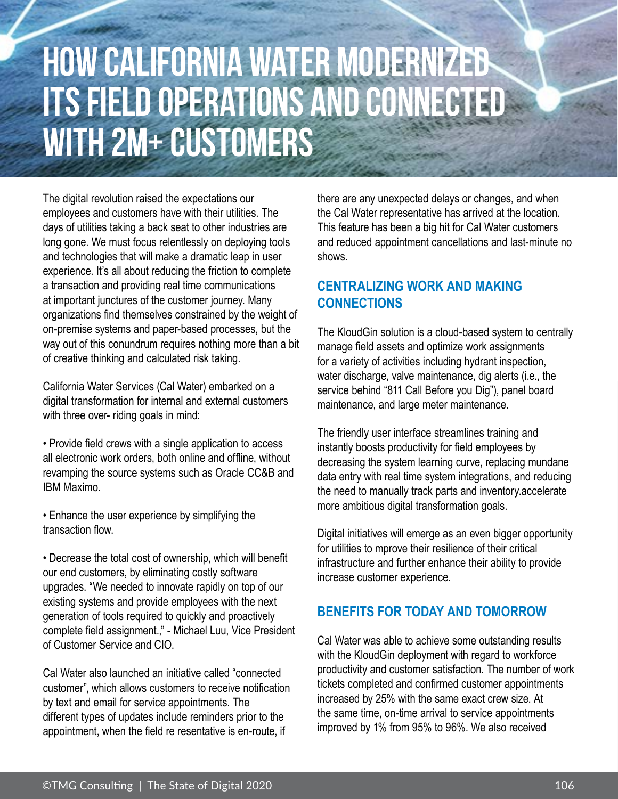## **How California Water Modernized ITS FIELD OPERATIONS AND CONNECTED with 2M+ Customers**

The digital revolution raised the expectations our employees and customers have with their utilities. The days of utilities taking a back seat to other industries are long gone. We must focus relentlessly on deploying tools and technologies that will make a dramatic leap in user experience. It's all about reducing the friction to complete a transaction and providing real time communications at important junctures of the customer journey. Many organizations find themselves constrained by the weight of on-premise systems and paper-based processes, but the way out of this conundrum requires nothing more than a bit of creative thinking and calculated risk taking.

California Water Services (Cal Water) embarked on a digital transformation for internal and external customers with three over- riding goals in mind:

• Provide field crews with a single application to access all electronic work orders, both online and offline, without revamping the source systems such as Oracle CC&B and IBM Maximo.

• Enhance the user experience by simplifying the transaction flow.

• Decrease the total cost of ownership, which will benefit our end customers, by eliminating costly software upgrades. "We needed to innovate rapidly on top of our existing systems and provide employees with the next generation of tools required to quickly and proactively complete field assignment.," - Michael Luu, Vice President of Customer Service and CIO.

Cal Water also launched an initiative called "connected customer", which allows customers to receive notification by text and email for service appointments. The different types of updates include reminders prior to the appointment, when the field re resentative is en-route, if

there are any unexpected delays or changes, and when the Cal Water representative has arrived at the location. This feature has been a big hit for Cal Water customers and reduced appointment cancellations and last-minute no shows.

## **CENTRALIZING WORK AND MAKING CONNECTIONS**

The KloudGin solution is a cloud-based system to centrally manage field assets and optimize work assignments for a variety of activities including hydrant inspection, water discharge, valve maintenance, dig alerts (i.e., the service behind "811 Call Before you Dig"), panel board maintenance, and large meter maintenance.

The friendly user interface streamlines training and instantly boosts productivity for field employees by decreasing the system learning curve, replacing mundane data entry with real time system integrations, and reducing the need to manually track parts and inventory.accelerate more ambitious digital transformation goals.

Digital initiatives will emerge as an even bigger opportunity for utilities to mprove their resilience of their critical infrastructure and further enhance their ability to provide increase customer experience.

## **BENEFITS FOR TODAY AND TOMORROW**<br>Cal Water was able to achieve some outstanding res

Water was able to achieve some oustaining results<br>with the KloudGin deployment with regard to workforce<br>productivity and customer satisfaction. The number of work tickets completed and cont<br>increased by 25% with the<br>the same time, on-time arr Cal Water was able to achieve some outstanding results productivity and customer satisfaction. The number of work tickets completed and confirmed customer appointments increased by 25% with the same exact crew size. At the same time, on-time arrival to service appointments improved by 1% from 95% to 96%. We also received